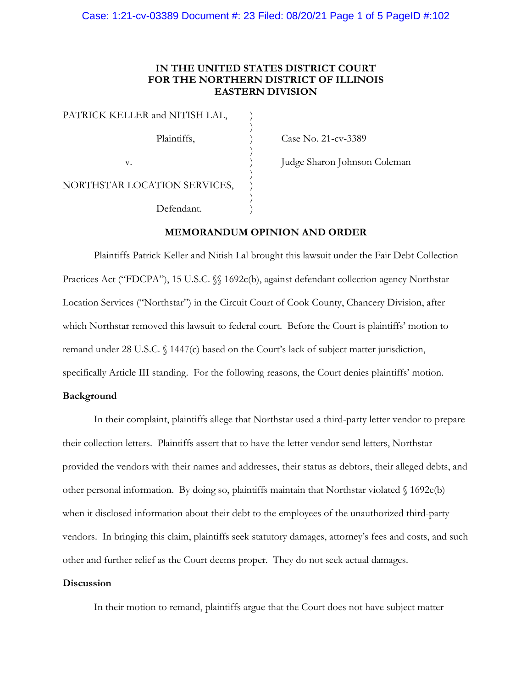### **IN THE UNITED STATES DISTRICT COURT FOR THE NORTHERN DISTRICT OF ILLINOIS EASTERN DIVISION**

)

)

)

)

PATRICK KELLER and NITISH LAL, Plaintiffs,  $\qquad \qquad$  ) Case No. 21-cv-3389 NORTHSTAR LOCATION SERVICES, Defendant.

v.  $j$  Judge Sharon Johnson Coleman

#### **MEMORANDUM OPINION AND ORDER**

Plaintiffs Patrick Keller and Nitish Lal brought this lawsuit under the Fair Debt Collection Practices Act ("FDCPA"), 15 U.S.C.  $\%$  1692c(b), against defendant collection agency Northstar Location Services ("Northstar") in the Circuit Court of Cook County, Chancery Division, after which Northstar removed this lawsuit to federal court. Before the Court is plaintiffs' motion to remand under 28 U.S.C. § 1447(c) based on the Court's lack of subject matter jurisdiction, specifically Article III standing. For the following reasons, the Court denies plaintiffs' motion.

#### **Background**

In their complaint, plaintiffs allege that Northstar used a third-party letter vendor to prepare their collection letters. Plaintiffs assert that to have the letter vendor send letters, Northstar provided the vendors with their names and addresses, their status as debtors, their alleged debts, and other personal information. By doing so, plaintiffs maintain that Northstar violated § 1692c(b) when it disclosed information about their debt to the employees of the unauthorized third-party vendors. In bringing this claim, plaintiffs seek statutory damages, attorney's fees and costs, and such other and further relief as the Court deems proper. They do not seek actual damages.

#### **Discussion**

In their motion to remand, plaintiffs argue that the Court does not have subject matter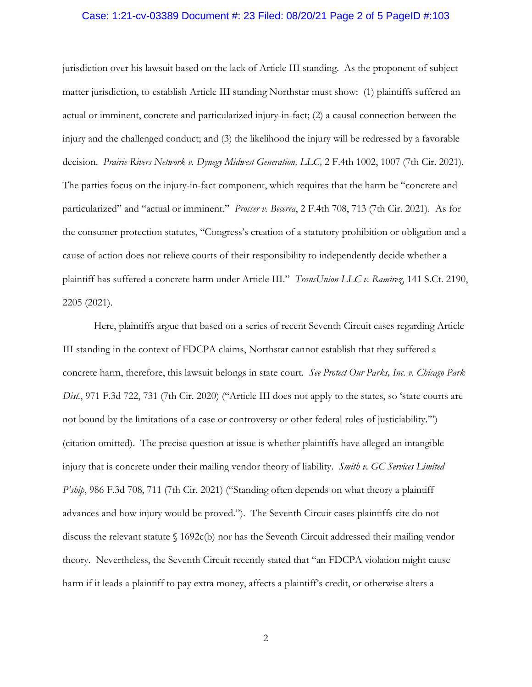#### Case: 1:21-cv-03389 Document #: 23 Filed: 08/20/21 Page 2 of 5 PageID #:103

jurisdiction over his lawsuit based on the lack of Article III standing. As the proponent of subject matter jurisdiction, to establish Article III standing Northstar must show: (1) plaintiffs suffered an actual or imminent, concrete and particularized injury-in-fact; (2) a causal connection between the injury and the challenged conduct; and (3) the likelihood the injury will be redressed by a favorable decision. *Prairie Rivers Network v. Dynegy Midwest Generation, LLC,* 2 F.4th 1002, 1007 (7th Cir. 2021). The parties focus on the injury-in-fact component, which requires that the harm be "concrete and particularized" and "actual or imminent." *Prosser v. Becerra*, 2 F.4th 708, 713 (7th Cir. 2021). As for the consumer protection statutes, "Congress's creation of a statutory prohibition or obligation and a cause of action does not relieve courts of their responsibility to independently decide whether a plaintiff has suffered a concrete harm under Article III." *TransUnion LLC v. Ramirez*, 141 S.Ct. 2190, 2205 (2021).

Here, plaintiffs argue that based on a series of recent Seventh Circuit cases regarding Article III standing in the context of FDCPA claims, Northstar cannot establish that they suffered a concrete harm, therefore, this lawsuit belongs in state court. *See Protect Our Parks, Inc. v. Chicago Park Dist.*, 971 F.3d 722, 731 (7th Cir. 2020) ("Article III does not apply to the states, so 'state courts are not bound by the limitations of a case or controversy or other federal rules of justiciability.'") (citation omitted). The precise question at issue is whether plaintiffs have alleged an intangible injury that is concrete under their mailing vendor theory of liability. *Smith v. GC Services Limited P'ship*, 986 F.3d 708, 711 (7th Cir. 2021) ("Standing often depends on what theory a plaintiff advances and how injury would be proved."). The Seventh Circuit cases plaintiffs cite do not discuss the relevant statute  $\int$  1692c(b) nor has the Seventh Circuit addressed their mailing vendor theory. Nevertheless, the Seventh Circuit recently stated that "an FDCPA violation might cause harm if it leads a plaintiff to pay extra money, affects a plaintiff's credit, or otherwise alters a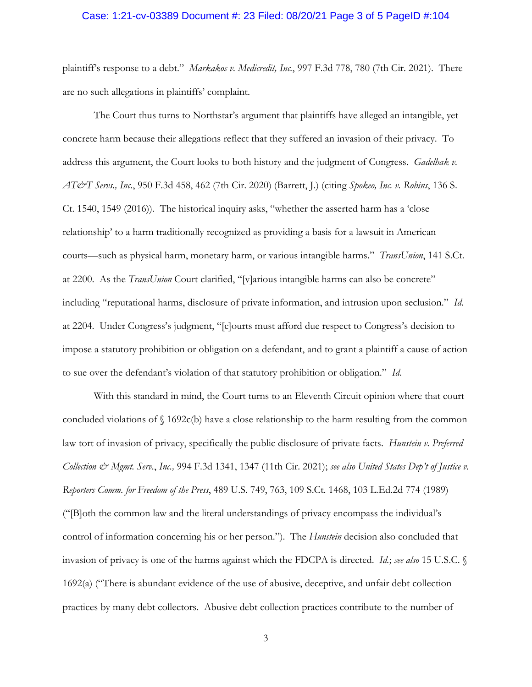#### Case: 1:21-cv-03389 Document #: 23 Filed: 08/20/21 Page 3 of 5 PageID #:104

plaintiff's response to a debt." *Markakos v. Medicredit, Inc.*, 997 F.3d 778, 780 (7th Cir. 2021). There are no such allegations in plaintiffs' complaint.

The Court thus turns to Northstar's argument that plaintiffs have alleged an intangible, yet concrete harm because their allegations reflect that they suffered an invasion of their privacy. To address this argument, the Court looks to both history and the judgment of Congress. *Gadelhak v. AT&T Servs., Inc.*, 950 F.3d 458, 462 (7th Cir. 2020) (Barrett, J.) (citing *Spokeo, Inc. v. Robins*, 136 S. Ct. 1540, 1549 (2016)). The historical inquiry asks, "whether the asserted harm has a 'close relationship' to a harm traditionally recognized as providing a basis for a lawsuit in American courts—such as physical harm, monetary harm, or various intangible harms." *TransUnion*, 141 S.Ct. at 2200. As the *TransUnion* Court clarified, "[v]arious intangible harms can also be concrete" including "reputational harms, disclosure of private information, and intrusion upon seclusion." *Id*. at 2204. Under Congress's judgment, "[c]ourts must afford due respect to Congress's decision to impose a statutory prohibition or obligation on a defendant, and to grant a plaintiff a cause of action to sue over the defendant's violation of that statutory prohibition or obligation." *Id*.

With this standard in mind, the Court turns to an Eleventh Circuit opinion where that court concluded violations of § 1692c(b) have a close relationship to the harm resulting from the common law tort of invasion of privacy, specifically the public disclosure of private facts. *Hunstein v. Preferred Collection & Mgmt. Serv.*, *Inc.,* 994 F.3d 1341, 1347 (11th Cir. 2021); *see also United States Dep't of Justice v. Reporters Comm. for Freedom of the Press*, 489 U.S. 749, 763, 109 S.Ct. 1468, 103 L.Ed.2d 774 (1989) ("[B]oth the common law and the literal understandings of privacy encompass the individual's control of information concerning his or her person."). The *Hunstein* decision also concluded that invasion of privacy is one of the harms against which the FDCPA is directed. *Id.*; *see also* 15 U.S.C. § 1692(a) ("There is abundant evidence of the use of abusive, deceptive, and unfair debt collection practices by many debt collectors. Abusive debt collection practices contribute to the number of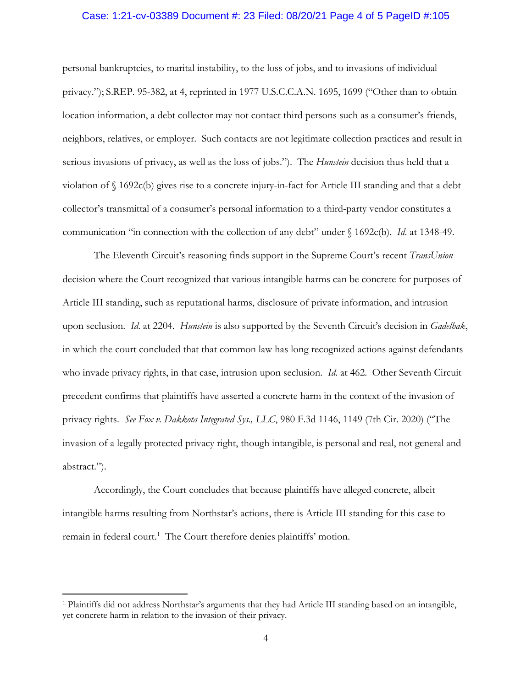#### Case: 1:21-cv-03389 Document #: 23 Filed: 08/20/21 Page 4 of 5 PageID #:105

personal bankruptcies, to marital instability, to the loss of jobs, and to invasions of individual privacy."); S.REP. 95-382, at 4, reprinted in 1977 U.S.C.C.A.N. 1695, 1699 ("Other than to obtain location information, a debt collector may not contact third persons such as a consumer's friends, neighbors, relatives, or employer. Such contacts are not legitimate collection practices and result in serious invasions of privacy, as well as the loss of jobs."). The *Hunstein* decision thus held that a violation of § 1692c(b) gives rise to a concrete injury-in-fact for Article III standing and that a debt collector's transmittal of a consumer's personal information to a third-party vendor constitutes a communication "in connection with the collection of any debt" under § 1692c(b). *Id*. at 1348-49.

The Eleventh Circuit's reasoning finds support in the Supreme Court's recent *TransUnion* decision where the Court recognized that various intangible harms can be concrete for purposes of Article III standing, such as reputational harms, disclosure of private information, and intrusion upon seclusion. *Id*. at 2204. *Hunstein* is also supported by the Seventh Circuit's decision in *Gadelhak*, in which the court concluded that that common law has long recognized actions against defendants who invade privacy rights, in that case, intrusion upon seclusion. *Id*. at 462. Other Seventh Circuit precedent confirms that plaintiffs have asserted a concrete harm in the context of the invasion of privacy rights. *See Fox v. Dakkota Integrated Sys., LLC*, 980 F.3d 1146, 1149 (7th Cir. 2020) ("The invasion of a legally protected privacy right, though intangible, is personal and real, not general and abstract.").

Accordingly, the Court concludes that because plaintiffs have alleged concrete, albeit intangible harms resulting from Northstar's actions, there is Article III standing for this case to remain in federal court.<sup>[1](#page-3-0)</sup> The Court therefore denies plaintiffs' motion.

<span id="page-3-0"></span><sup>1</sup> Plaintiffs did not address Northstar's arguments that they had Article III standing based on an intangible, yet concrete harm in relation to the invasion of their privacy.